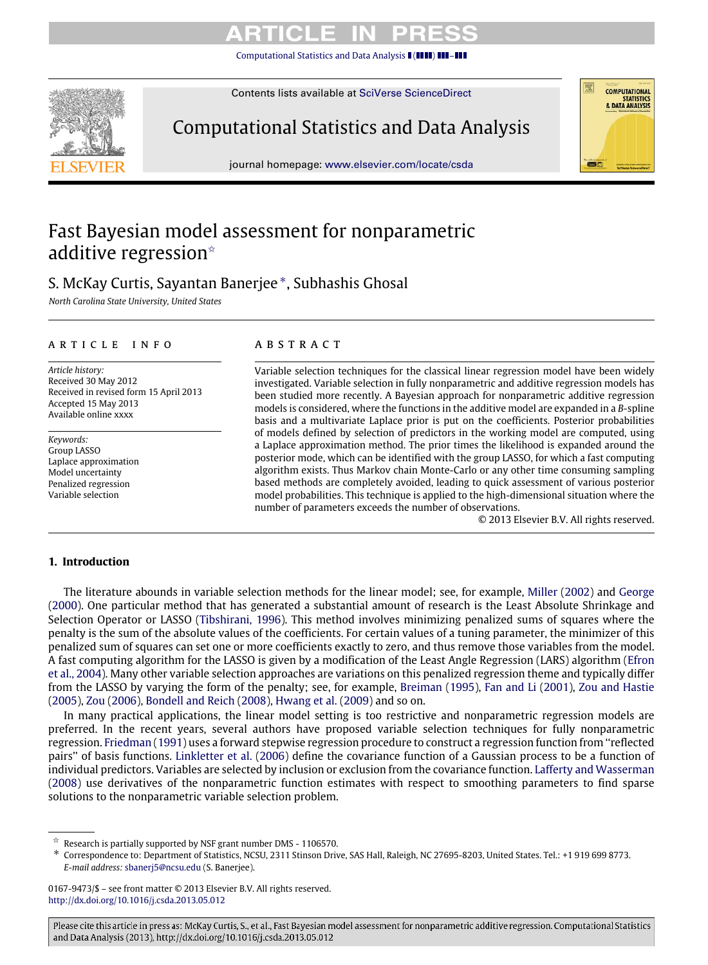[Computational Statistics and Data Analysis](http://dx.doi.org/10.1016/j.csda.2013.05.012) ((**1111) H11-T11** 



Contents lists available at [SciVerse ScienceDirect](http://www.elsevier.com/locate/csda)

Computational Statistics and Data Analysis

journal homepage: [www.elsevier.com/locate/csda](http://www.elsevier.com/locate/csda)

# Fast Bayesian model assessment for nonparametric additive regression<sup>\*</sup>

# S. McKay Curtis, Sayantan Banerjee [∗](#page-0-1) , Subhashis Ghosal

*North Carolina State University, United States*

# a r t i c l e i n f o

*Article history:* Received 30 May 2012 Received in revised form 15 April 2013 Accepted 15 May 2013 Available online xxxx

*Keywords:* Group LASSO Laplace approximation Model uncertainty Penalized regression Variable selection

# a b s t r a c t

Variable selection techniques for the classical linear regression model have been widely investigated. Variable selection in fully nonparametric and additive regression models has been studied more recently. A Bayesian approach for nonparametric additive regression models is considered, where the functions in the additive model are expanded in a *B*-spline basis and a multivariate Laplace prior is put on the coefficients. Posterior probabilities of models defined by selection of predictors in the working model are computed, using a Laplace approximation method. The prior times the likelihood is expanded around the posterior mode, which can be identified with the group LASSO, for which a fast computing algorithm exists. Thus Markov chain Monte-Carlo or any other time consuming sampling based methods are completely avoided, leading to quick assessment of various posterior model probabilities. This technique is applied to the high-dimensional situation where the number of parameters exceeds the number of observations.

© 2013 Elsevier B.V. All rights reserved.

**COMPUTATIONAL** STATISTICS<br>8. DATA ANALYSIS

# **1. Introduction**

The literature abounds in variable selection methods for the linear model; see, for example, [Miller](#page-10-0) [\(2002\)](#page-10-0) and [George](#page-10-1) [\(2000\)](#page-10-1). One particular method that has generated a substantial amount of research is the Least Absolute Shrinkage and Selection Operator or LASSO [\(Tibshirani, 1996\)](#page-11-0). This method involves minimizing penalized sums of squares where the penalty is the sum of the absolute values of the coefficients. For certain values of a tuning parameter, the minimizer of this penalized sum of squares can set one or more coefficients exactly to zero, and thus remove those variables from the model. A fast computing algorithm for the LASSO is given by a modification of the Least Angle Regression (LARS) algorithm [\(Efron](#page-10-2) [et al., 2004\)](#page-10-2). Many other variable selection approaches are variations on this penalized regression theme and typically differ from the LASSO by varying the form of the penalty; see, for example, [Breiman](#page-10-3) [\(1995\)](#page-10-3), [Fan and Li](#page-10-4) [\(2001\)](#page-10-4), [Zou and Hastie](#page-11-1) [\(2005\)](#page-11-1), [Zou](#page-11-2) [\(2006\)](#page-11-2), [Bondell and Reich](#page-10-5) [\(2008\)](#page-10-5), [Hwang et al.](#page-10-6) [\(2009\)](#page-10-6) and so on.

In many practical applications, the linear model setting is too restrictive and nonparametric regression models are preferred. In the recent years, several authors have proposed variable selection techniques for fully nonparametric regression. [Friedman](#page-10-7) [\(1991\)](#page-10-7) uses a forward stepwise regression procedure to construct a regression function from ''reflected pairs'' of basis functions. [Linkletter et al.](#page-10-8) [\(2006\)](#page-10-8) define the covariance function of a Gaussian process to be a function of individual predictors. Variables are selected by inclusion or exclusion from the covariance function. [Lafferty and Wasserman](#page-10-9) [\(2008\)](#page-10-9) use derivatives of the nonparametric function estimates with respect to smoothing parameters to find sparse solutions to the nonparametric variable selection problem.

<span id="page-0-0"></span><sup>✩</sup> Research is partially supported by NSF grant number DMS - 1106570.

<span id="page-0-1"></span><sup>∗</sup> Correspondence to: Department of Statistics, NCSU, 2311 Stinson Drive, SAS Hall, Raleigh, NC 27695-8203, United States. Tel.: +1 919 699 8773. *E-mail address:* [sbanerj5@ncsu.edu](mailto:sbanerj5@ncsu.edu) (S. Banerjee).

<sup>0167-9473/\$ –</sup> see front matter © 2013 Elsevier B.V. All rights reserved. <http://dx.doi.org/10.1016/j.csda.2013.05.012>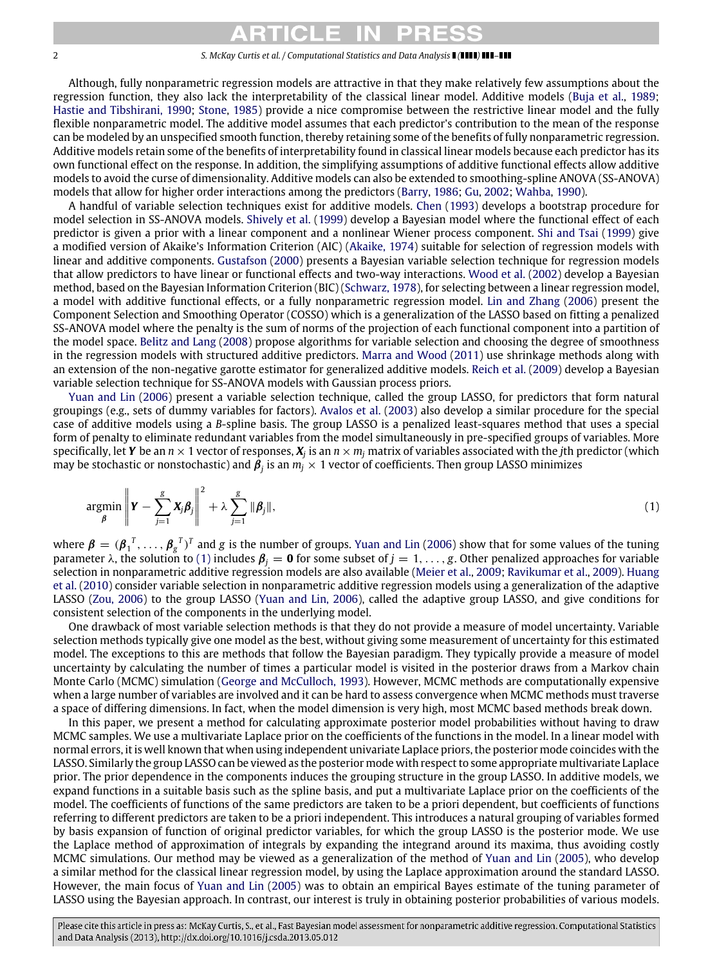Although, fully nonparametric regression models are attractive in that they make relatively few assumptions about the regression function, they also lack the interpretability of the classical linear model. Additive models [\(Buja et al.,](#page-10-10) [1989;](#page-10-10) [Hastie and Tibshirani, 1990;](#page-10-11) [Stone,](#page-11-3) [1985\)](#page-11-3) provide a nice compromise between the restrictive linear model and the fully flexible nonparametric model. The additive model assumes that each predictor's contribution to the mean of the response can be modeled by an unspecified smooth function, thereby retaining some of the benefits of fully nonparametric regression. Additive models retain some of the benefits of interpretability found in classical linear models because each predictor has its own functional effect on the response. In addition, the simplifying assumptions of additive functional effects allow additive models to avoid the curse of dimensionality. Additive models can also be extended to smoothing-spline ANOVA (SS-ANOVA) models that allow for higher order interactions among the predictors [\(Barry,](#page-10-12) [1986;](#page-10-12) [Gu,](#page-10-13) [2002;](#page-10-13) [Wahba,](#page-11-4) [1990\)](#page-11-4).

A handful of variable selection techniques exist for additive models. [Chen](#page-10-14) [\(1993\)](#page-10-14) develops a bootstrap procedure for model selection in SS-ANOVA models. [Shively et al.](#page-11-5) [\(1999\)](#page-11-5) develop a Bayesian model where the functional effect of each predictor is given a prior with a linear component and a nonlinear Wiener process component. [Shi and Tsai](#page-11-6) [\(1999\)](#page-11-6) give a modified version of Akaike's Information Criterion (AIC) [\(Akaike, 1974\)](#page-10-15) suitable for selection of regression models with linear and additive components. [Gustafson](#page-10-16) [\(2000\)](#page-10-16) presents a Bayesian variable selection technique for regression models that allow predictors to have linear or functional effects and two-way interactions. [Wood et al.](#page-11-7) [\(2002\)](#page-11-7) develop a Bayesian method, based on the Bayesian Information Criterion (BIC) [\(Schwarz, 1978\)](#page-11-8), for selecting between a linear regression model, a model with additive functional effects, or a fully nonparametric regression model. [Lin and Zhang](#page-10-17) [\(2006\)](#page-10-17) present the Component Selection and Smoothing Operator (COSSO) which is a generalization of the LASSO based on fitting a penalized SS-ANOVA model where the penalty is the sum of norms of the projection of each functional component into a partition of the model space. [Belitz and Lang](#page-10-18) [\(2008\)](#page-10-18) propose algorithms for variable selection and choosing the degree of smoothness in the regression models with structured additive predictors. [Marra and Wood](#page-10-19) [\(2011\)](#page-10-19) use shrinkage methods along with an extension of the non-negative garotte estimator for generalized additive models. [Reich et al.](#page-11-9) [\(2009\)](#page-11-9) develop a Bayesian variable selection technique for SS-ANOVA models with Gaussian process priors.

[Yuan and Lin](#page-11-10) [\(2006\)](#page-11-10) present a variable selection technique, called the group LASSO, for predictors that form natural groupings (e.g., sets of dummy variables for factors). [Avalos et al.](#page-10-20) [\(2003\)](#page-10-20) also develop a similar procedure for the special case of additive models using a *B*-spline basis. The group LASSO is a penalized least-squares method that uses a special form of penalty to eliminate redundant variables from the model simultaneously in pre-specified groups of variables. More specifically, let *Y* be an  $n \times 1$  vector of responses,  $X_j$  is an  $n \times m_j$  matrix of variables associated with the *j*th predictor (which may be stochastic or nonstochastic) and  $\pmb{\beta}_j$  is an  $m_j\times 1$  vector of coefficients. Then group LASSO minimizes

<span id="page-1-0"></span>
$$
\underset{\beta}{\text{argmin}} \left\| \mathbf{Y} - \sum_{j=1}^{g} \mathbf{X}_{j} \boldsymbol{\beta}_{j} \right\|^{2} + \lambda \sum_{j=1}^{g} \|\boldsymbol{\beta}_{j}\|,
$$
\n(1)

where  $\beta = (\beta_1^T, \dots, \beta_g^T)^T$  and *g* is the number of groups. [Yuan and Lin](#page-11-10) [\(2006\)](#page-11-10) show that for some values of the tuning parameter λ, the solution to [\(1\)](#page-1-0) includes  $\beta_j = 0$  for some subset of  $j = 1, ..., g$ . Other penalized approaches for variable selection in nonparametric additive regression models are also available [\(Meier et al.,](#page-10-21) [2009;](#page-10-21) [Ravikumar et al.,](#page-10-22) [2009\)](#page-10-22). [Huang](#page-10-23) [et al.](#page-10-23) [\(2010\)](#page-10-23) consider variable selection in nonparametric additive regression models using a generalization of the adaptive LASSO [\(Zou, 2006\)](#page-11-2) to the group LASSO [\(Yuan and Lin, 2006\)](#page-11-10), called the adaptive group LASSO, and give conditions for consistent selection of the components in the underlying model.

One drawback of most variable selection methods is that they do not provide a measure of model uncertainty. Variable selection methods typically give one model as the best, without giving some measurement of uncertainty for this estimated model. The exceptions to this are methods that follow the Bayesian paradigm. They typically provide a measure of model uncertainty by calculating the number of times a particular model is visited in the posterior draws from a Markov chain Monte Carlo (MCMC) simulation [\(George and McCulloch, 1993\)](#page-10-24). However, MCMC methods are computationally expensive when a large number of variables are involved and it can be hard to assess convergence when MCMC methods must traverse a space of differing dimensions. In fact, when the model dimension is very high, most MCMC based methods break down.

In this paper, we present a method for calculating approximate posterior model probabilities without having to draw MCMC samples. We use a multivariate Laplace prior on the coefficients of the functions in the model. In a linear model with normal errors, it is well known that when using independent univariate Laplace priors, the posterior mode coincides with the LASSO. Similarly the group LASSO can be viewed as the posterior mode with respect to some appropriate multivariate Laplace prior. The prior dependence in the components induces the grouping structure in the group LASSO. In additive models, we expand functions in a suitable basis such as the spline basis, and put a multivariate Laplace prior on the coefficients of the model. The coefficients of functions of the same predictors are taken to be a priori dependent, but coefficients of functions referring to different predictors are taken to be a priori independent. This introduces a natural grouping of variables formed by basis expansion of function of original predictor variables, for which the group LASSO is the posterior mode. We use the Laplace method of approximation of integrals by expanding the integrand around its maxima, thus avoiding costly MCMC simulations. Our method may be viewed as a generalization of the method of [Yuan and Lin](#page-11-11) [\(2005\)](#page-11-11), who develop a similar method for the classical linear regression model, by using the Laplace approximation around the standard LASSO. However, the main focus of [Yuan and Lin](#page-11-11) [\(2005\)](#page-11-11) was to obtain an empirical Bayes estimate of the tuning parameter of LASSO using the Bayesian approach. In contrast, our interest is truly in obtaining posterior probabilities of various models.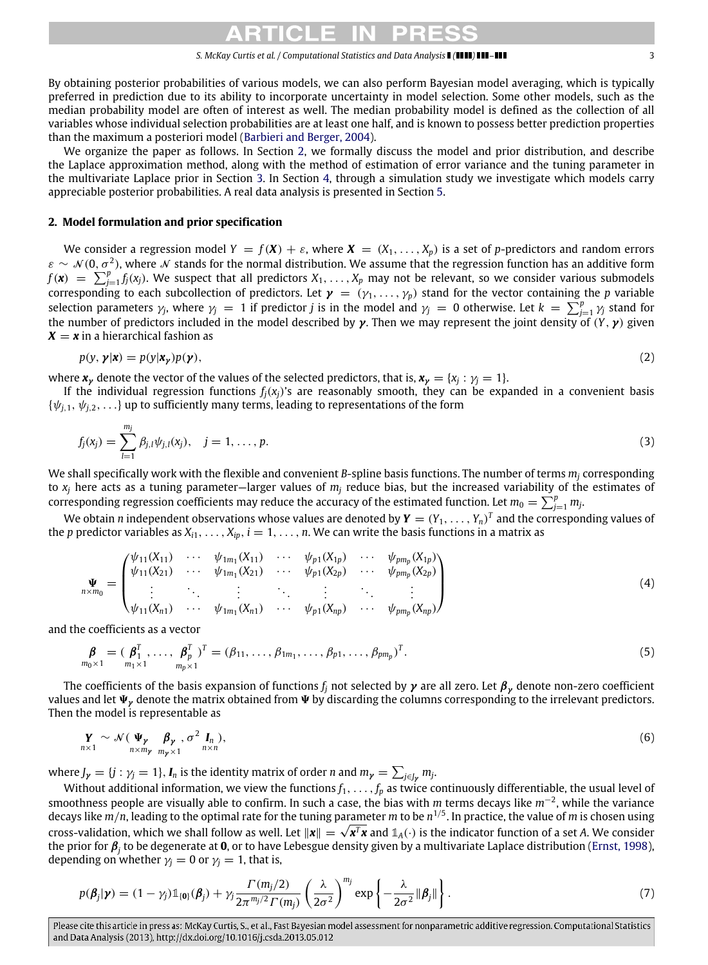By obtaining posterior probabilities of various models, we can also perform Bayesian model averaging, which is typically preferred in prediction due to its ability to incorporate uncertainty in model selection. Some other models, such as the median probability model are often of interest as well. The median probability model is defined as the collection of all variables whose individual selection probabilities are at least one half, and is known to possess better prediction properties than the maximum a posteriori model [\(Barbieri and Berger, 2004\)](#page-10-25).

We organize the paper as follows. In Section [2,](#page-2-0) we formally discuss the model and prior distribution, and describe the Laplace approximation method, along with the method of estimation of error variance and the tuning parameter in the multivariate Laplace prior in Section [3.](#page-4-0) In Section [4,](#page-7-0) through a simulation study we investigate which models carry appreciable posterior probabilities. A real data analysis is presented in Section [5.](#page-10-26)

# <span id="page-2-0"></span>**2. Model formulation and prior specification**

We consider a regression model  $Y = f(X) + \varepsilon$ , where  $X = (X_1, \ldots, X_p)$  is a set of *p*-predictors and random errors  $\varepsilon \sim \mathcal{N}(0, \sigma^2)$ , where  $\mathcal N$  stands for the normal distribution. We assume that the regression function has an additive form  $f(\mathbf{x}) = \sum_{j=1}^{p} f_j(x_j)$ . We suspect that all predictors  $X_1, \ldots, X_p$  may not be relevant, so we consider various submodels corresponding to each subcollection of predictors. Let  $\gamma = (\gamma_1, \dots, \gamma_p)$  stand for the vector containing the *p* variable selection parameters  $\gamma_j$ , where  $\gamma_j = 1$  if predictor *j* is in the model and  $\gamma_j = 0$  otherwise. Let  $k = \sum_{j=1}^p \gamma_j$  stand for the number of predictors included in the model described by  $\gamma$ . Then we may represent the joint density of  $(Y, \gamma)$  given  $X = x$  in a hierarchical fashion as

$$
p(y, \gamma | \mathbf{x}) = p(y | \mathbf{x}_y) p(\gamma), \tag{2}
$$

where  $x_y$  denote the vector of the values of the selected predictors, that is,  $x_y = \{x_j : \gamma_j = 1\}$ .

If the individual regression functions  $f_i(x_i)$ 's are reasonably smooth, they can be expanded in a convenient basis  $\{\psi_{i,1}, \psi_{i,2}, \ldots\}$  up to sufficiently many terms, leading to representations of the form

$$
f_j(x_j) = \sum_{l=1}^{m_j} \beta_{j,l} \psi_{j,l}(x_j), \quad j = 1, \dots, p.
$$
 (3)

We shall specifically work with the flexible and convenient *B*-spline basis functions. The number of terms *m<sup>j</sup>* corresponding to  $x_i$  here acts as a tuning parameter—larger values of  $m_i$  reduce bias, but the increased variability of the estimates of corresponding regression coefficients may reduce the accuracy of the estimated function. Let  $m_0 = \sum_{j=1}^p m_j$ 

We obtain *n* independent observations whose values are denoted by  $Y = (Y_1, \ldots, Y_n)^T$  and the corresponding values of the *p* predictor variables as  $X_{i1}, \ldots, X_{ip}$ ,  $i = 1, \ldots, n$ . We can write the basis functions in a matrix as

$$
\Psi_{n \times m_0} = \begin{pmatrix}\n\psi_{11}(X_{11}) & \cdots & \psi_{1m_1}(X_{11}) & \cdots & \psi_{p1}(X_{1p}) & \cdots & \psi_{pm_p}(X_{1p}) \\
\psi_{11}(X_{21}) & \cdots & \psi_{1m_1}(X_{21}) & \cdots & \psi_{p1}(X_{2p}) & \cdots & \psi_{pm_p}(X_{2p}) \\
\vdots & \ddots & \vdots & \ddots & \vdots & \ddots & \vdots \\
\psi_{11}(X_{n1}) & \cdots & \psi_{1m_1}(X_{n1}) & \cdots & \psi_{p1}(X_{np}) & \cdots & \psi_{pm_p}(X_{np})\n\end{pmatrix}
$$
\n(4)

and the coefficients as a vector

$$
\mathbf{\beta}_{m_0 \times 1} = (\mathbf{\beta}_1^T, \dots, \mathbf{\beta}_p^T)^T = (\beta_{11}, \dots, \beta_{1m_1}, \dots, \beta_{p1}, \dots, \beta_{p m_p})^T.
$$
\n(5)

The coefficients of the basis expansion of functions  $f_i$  not selected by  $\gamma$  are all zero. Let  $\beta_\nu$  denote non-zero coefficient values and let  $\Psi_{\nu}$  denote the matrix obtained from  $\Psi$  by discarding the columns corresponding to the irrelevant predictors. Then the model is representable as

<span id="page-2-1"></span>
$$
\mathbf{y}_{n \times 1} \sim \mathcal{N}(\mathbf{\Psi}_{\mathbf{y}} \mathbf{\beta}_{\mathbf{y}}, \sigma^2 \mathbf{I}_n),
$$
  
\n
$$
\sum_{n \times m_{\mathbf{y}} \mathbf{y}_{n \times 1}} \sigma^2 \mathbf{I}_n,
$$
\n
$$
(6)
$$

where  $J_{\gamma} = \{j : \gamma_j = 1\}$ ,  $I_n$  is the identity matrix of order *n* and  $m_{\gamma} = \sum_{j \in J_{\gamma}} m_j$ .

Without additional information, we view the functions  $f_1, \ldots, f_p$  as twice continuously differentiable, the usual level of smoothness people are visually able to confirm. In such a case, the bias with *m* terms decays like *m*−<sup>2</sup> , while the variance decays like *m*/*n*, leading to the optimal rate for the tuning parameter *m* to be *n* 1/5 . In practice, the value of *m* is chosen using cross-validation, which we shall follow as well. Let  $||x|| = \sqrt{x^T x}$  and  $\mathbb{1}_A(\cdot)$  is the indicator function of a set *A*. We consider the prior for β*<sup>j</sup>* to be degenerate at **0**, or to have Lebesgue density given by a multivariate Laplace distribution [\(Ernst, 1998\)](#page-10-27), depending on whether  $\gamma_j = 0$  or  $\gamma_j = 1$ , that is,

$$
p(\boldsymbol{\beta}_j|\boldsymbol{\gamma}) = (1-\gamma_j)\mathbb{1}_{\{\boldsymbol{0}\}}(\boldsymbol{\beta}_j) + \gamma_j \frac{\Gamma(m_j/2)}{2\pi^{m_j/2} \Gamma(m_j)} \left(\frac{\lambda}{2\sigma^2}\right)^{m_j} \exp\left\{-\frac{\lambda}{2\sigma^2} \|\boldsymbol{\beta}_j\|\right\}.
$$
 (7)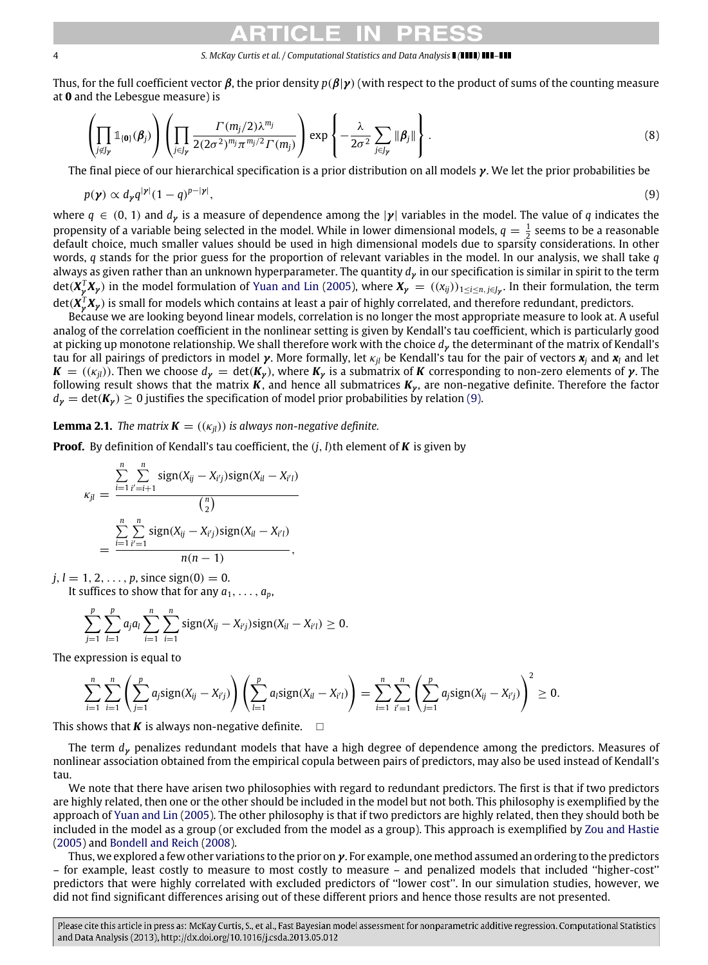Thus, for the full coefficient vector β, the prior density *<sup>p</sup>*(β|γ) (with respect to the product of sums of the counting measure at **0** and the Lebesgue measure) is

<span id="page-3-1"></span>
$$
\left(\prod_{j\not\in J_{\mathcal{V}}}\mathbb{1}_{\{\mathbf{0}\}}(\boldsymbol{\beta}_{j})\right)\left(\prod_{j\in J_{\mathcal{V}}}\frac{\Gamma(m_{j}/2)\lambda^{m_{j}}}{2(2\sigma^{2})^{m_{j}}\pi^{m_{j}/2}\Gamma(m_{j})}\right)\exp\left\{-\frac{\lambda}{2\sigma^{2}}\sum_{j\in J_{\mathcal{V}}}||\boldsymbol{\beta}_{j}||\right\}.
$$
\n(8)

The final piece of our hierarchical specification is a prior distribution on all models γ. We let the prior probabilities be

<span id="page-3-0"></span>
$$
p(\mathbf{y}) \propto d_{\mathbf{y}} q^{|\mathbf{y}|} (1-q)^{p-|\mathbf{y}|},\tag{9}
$$

where  $q \in (0, 1)$  and  $d<sub>y</sub>$  is a measure of dependence among the  $|y|$  variables in the model. The value of q indicates the propensity of a variable being selected in the model. While in lower dimensional models,  $q = \frac{1}{2}$  seems to be a reasonable default choice, much smaller values should be used in high dimensional models due to sparsity considerations. In other words, *q* stands for the prior guess for the proportion of relevant variables in the model. In our analysis, we shall take *q* always as given rather than an unknown hyperparameter. The quantity *d*γ in our specification is similar in spirit to the term det(*X T* <sup>γ</sup> *<sup>X</sup>*<sup>γ</sup> ) in the model formulation of [Yuan and Lin](#page-11-11) [\(2005\)](#page-11-11), where *<sup>X</sup>*<sup>γ</sup> = ((*xij*))<sup>1</sup>≤*i*≤*n*, *<sup>j</sup>*∈*J*<sup>γ</sup> . In their formulation, the term det(*X T* <sup>γ</sup> *<sup>X</sup>*<sup>γ</sup> ) is small for models which contains at least a pair of highly correlated, and therefore redundant, predictors.

Because we are looking beyond linear models, correlation is no longer the most appropriate measure to look at. A useful analog of the correlation coefficient in the nonlinear setting is given by Kendall's tau coefficient, which is particularly good at picking up monotone relationship. We shall therefore work with the choice *d*γ the determinant of the matrix of Kendall's tau for all pairings of predictors in model γ. More formally, let κ*jl* be Kendall's tau for the pair of vectors *x<sup>j</sup>* and *x<sup>l</sup>* and let  $K = ((\kappa_{ij}))$ . Then we choose  $d_{\gamma} = \det(K_{\gamma})$ , where  $K_{\gamma}$  is a submatrix of *K* corresponding to non-zero elements of  $\gamma$ . The following result shows that the matrix  $K$ , and hence all submatrices  $K_{\gamma}$ , are non-negative definite. Therefore the factor  $d_{\nu} = \det(K_{\nu}) \geq 0$  justifies the specification of model prior probabilities by relation [\(9\).](#page-3-0)

**Lemma 2.1.** *The matrix*  $\mathbf{K} = ((\kappa_{il}))$  *is always non-negative definite.* 

**Proof.** By definition of Kendall's tau coefficient, the  $(i, l)$ th element of **K** is given by

$$
\kappa_{jl} = \frac{\sum_{i=1}^{n} \sum_{i'=i+1}^{n} sign(X_{ij} - X_{i'j})sign(X_{il} - X_{i'l})}{\binom{n}{2}}
$$

$$
= \frac{\sum_{i=1}^{n} \sum_{i'=1}^{n} sign(X_{ij} - X_{i'j})sign(X_{il} - X_{i'l})}{n(n-1)},
$$

 $j, l = 1, 2, ..., p$ , since sign(0) = 0. It suffices to show that for any  $a_1, \ldots, a_p$ ,

*<sup>i</sup>*=<sup>1</sup> *<sup>i</sup>*=<sup>1</sup>

$$
\sum_{i=1}^{p} \sum_{j=1}^{p} a_j a_l \sum_{i=1}^{n} \sum_{j=1}^{n} sign(X_{ij} - X_{i'j}) sign(X_{il} - X_{i'l}) \geq 0.
$$

The expression is equal to

*<sup>j</sup>*=<sup>1</sup> *<sup>l</sup>*=<sup>1</sup>

$$
\sum_{i=1}^n \sum_{i=1}^n \left( \sum_{j=1}^p a_j sign(X_{ij} - X_{i'j}) \right) \left( \sum_{l=1}^p a_l sign(X_{il} - X_{i'l}) \right) = \sum_{i=1}^n \sum_{i'=1}^n \left( \sum_{j=1}^p a_j sign(X_{ij} - X_{i'j}) \right)^2 \geq 0.
$$

This shows that *K* is always non-negative definite.  $\Box$ 

The term *d*γ penalizes redundant models that have a high degree of dependence among the predictors. Measures of nonlinear association obtained from the empirical copula between pairs of predictors, may also be used instead of Kendall's tau.

We note that there have arisen two philosophies with regard to redundant predictors. The first is that if two predictors are highly related, then one or the other should be included in the model but not both. This philosophy is exemplified by the approach of [Yuan and Lin](#page-11-11) [\(2005\)](#page-11-11). The other philosophy is that if two predictors are highly related, then they should both be included in the model as a group (or excluded from the model as a group). This approach is exemplified by [Zou and Hastie](#page-11-1) [\(2005\)](#page-11-1) and [Bondell and Reich](#page-10-5) [\(2008\)](#page-10-5).

Thus, we explored a few other variations to the prior on  $\gamma$ . For example, one method assumed an ordering to the predictors – for example, least costly to measure to most costly to measure – and penalized models that included ''higher-cost'' predictors that were highly correlated with excluded predictors of ''lower cost''. In our simulation studies, however, we did not find significant differences arising out of these different priors and hence those results are not presented.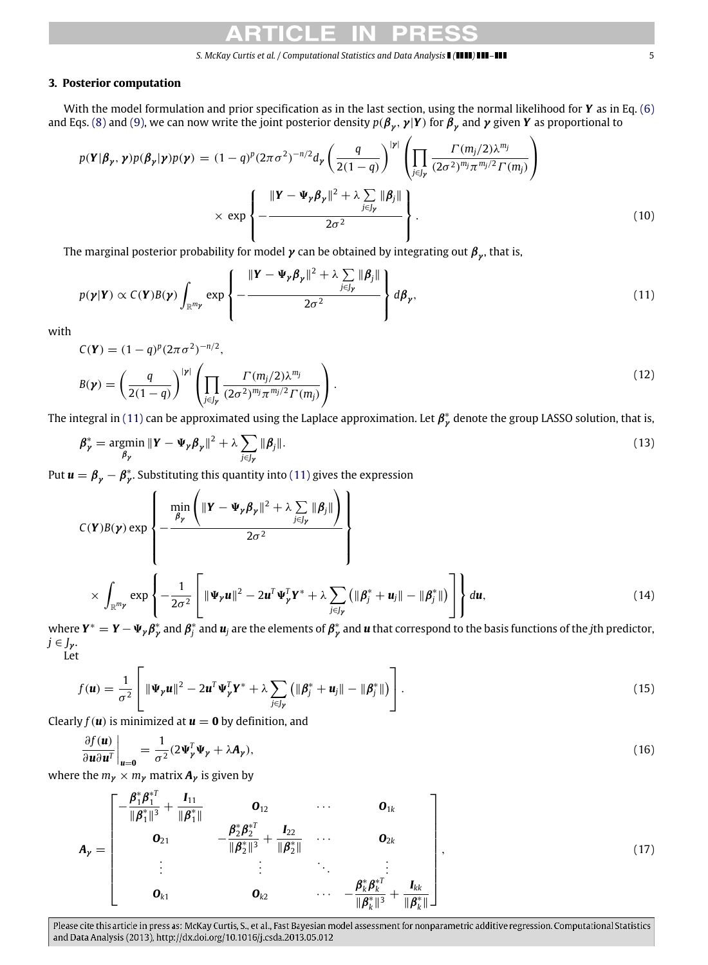### <span id="page-4-0"></span>**3. Posterior computation**

With the model formulation and prior specification as in the last section, using the normal likelihood for *Y* as in Eq. [\(6\)](#page-2-1) and Eqs. [\(8\)](#page-3-1) and [\(9\),](#page-3-0) we can now write the joint posterior density  $p(\pmb{\beta}_\pmb{\gamma},\pmb{\gamma}| \pmb{Y})$  for  $\pmb{\beta}_\pmb{\gamma}$  and  $\pmb{\gamma}$  given  $\pmb{Y}$  as proportional to

$$
p(\mathbf{Y}|\boldsymbol{\beta}_{\mathbf{y}},\boldsymbol{\gamma})p(\boldsymbol{\beta}_{\mathbf{y}}|\boldsymbol{\gamma})p(\boldsymbol{\gamma}) = (1-q)^{p}(2\pi\sigma^{2})^{-n/2}d_{\mathbf{y}}\left(\frac{q}{2(1-q)}\right)^{|\mathbf{y}|}\left(\prod_{j\in J_{\mathbf{y}}}\frac{\Gamma(m_{j}/2)\lambda^{m_{j}}}{(2\sigma^{2})^{m_{j}}\pi^{m_{j}/2}\Gamma(m_{j})}\right) \times \exp\left\{-\frac{\|\mathbf{Y}-\mathbf{\Psi}_{\mathbf{y}}\boldsymbol{\beta}_{\mathbf{y}}\|^{2}+\lambda\sum_{j\in J_{\mathbf{y}}}\|\boldsymbol{\beta}_{j}\|}{2\sigma^{2}}\right\}.
$$
\n(10)

The marginal posterior probability for model  $\pmb{\nu}$  can be obtained by integrating out  ${\pmb \beta}_\pmb{\nu}$ , that is,

<span id="page-4-1"></span>
$$
p(\boldsymbol{\gamma}|\boldsymbol{Y}) \propto C(\boldsymbol{Y})B(\boldsymbol{\gamma}) \int_{\mathbb{R}^{m_{\boldsymbol{\gamma}}}} \exp \left\{-\frac{\|\boldsymbol{Y} - \boldsymbol{\Psi}_{\boldsymbol{\gamma}} \boldsymbol{\beta}_{\boldsymbol{\gamma}}\|^2 + \lambda \sum_{j \in J_{\boldsymbol{\gamma}}} \|\boldsymbol{\beta}_j\|}{2\sigma^2}\right\} d\boldsymbol{\beta}_{\boldsymbol{\gamma}},
$$
\n(11)

with

<span id="page-4-4"></span>
$$
C(\mathbf{Y}) = (1 - q)^p (2\pi \sigma^2)^{-n/2},
$$
  
\n
$$
B(\mathbf{y}) = \left(\frac{q}{2(1 - q)}\right)^{|\mathbf{y}|} \left(\prod_{j \in J_{\mathbf{y}}} \frac{\Gamma(m_j/2) \lambda^{m_j}}{(2\sigma^2)^{m_j} \pi^{m_j/2} \Gamma(m_j)}\right).
$$
\n(12)

The integral in [\(11\)](#page-4-1) can be approximated using the Laplace approximation. Let  $\pmb{\beta}_\mathcal{V}^*$  denote the group LASSO solution, that is,

$$
\beta_{\gamma}^* = \underset{\beta_{\gamma}}{\text{argmin}} \|\mathbf{Y} - \mathbf{\Psi}_{\gamma} \boldsymbol{\beta}_{\gamma}\|^2 + \lambda \sum_{j \in J_{\gamma}} \|\boldsymbol{\beta}_j\|.
$$
 (13)

Put  $u = \beta_{\gamma} - \beta_{\gamma}^{*}$ . Substituting this quantity into [\(11\)](#page-4-1) gives the expression

<span id="page-4-2"></span>
$$
C(\mathbf{Y})B(\mathbf{y}) \exp\left\{-\frac{\min_{\beta_{\gamma}}\left(\|\mathbf{Y}-\mathbf{\Psi}_{\gamma}\boldsymbol{\beta}_{\gamma}\|^{2}+\lambda\sum_{j\in J_{\gamma}}\|\boldsymbol{\beta}_{j}\|\right)}{2\sigma^{2}}\right\}
$$
\n
$$
\times \int_{\mathbb{R}^{m_{\gamma}}} \exp\left\{-\frac{1}{2\sigma^{2}}\left[\|\mathbf{\Psi}_{\gamma}\mathbf{u}\|^{2}-2\mathbf{u}^{T}\mathbf{\Psi}_{\gamma}^{T}\mathbf{Y}^{*}+\lambda\sum_{j\in J_{\gamma}}\left(\|\boldsymbol{\beta}_{j}^{*}+\mathbf{u}_{j}\|-\|\boldsymbol{\beta}_{j}^{*}\|\right)\right]\right\} d\mathbf{u},
$$
\n(14)

where  $Y^* = Y - \Psi_{\gamma} \beta_{\gamma}^*$  and  $\beta_j^*$  and  $u_j$  are the elements of  $\beta_{\gamma}^*$  and  $u$  that correspond to the basis functions of the *j*th predictor, *<sup>j</sup>* ∈ *<sup>J</sup>*<sup>γ</sup> . Let

$$
f(\mathbf{u}) = \frac{1}{\sigma^2} \left[ \|\mathbf{\Psi}_{\mathbf{y}} \mathbf{u}\|^2 - 2 \mathbf{u}^T \mathbf{\Psi}_{\mathbf{y}}^T \mathbf{Y}^* + \lambda \sum_{j \in J_{\mathbf{y}}} \left( \|\boldsymbol{\beta}_j^* + \mathbf{u}_j\| - \|\boldsymbol{\beta}_j^*\| \right) \right].
$$
 (15)

Clearly  $f(\boldsymbol{u})$  is minimized at  $\boldsymbol{u} = \boldsymbol{0}$  by definition, and

<span id="page-4-3"></span>
$$
\left. \frac{\partial f(\mathbf{u})}{\partial \mathbf{u} \partial \mathbf{u}^T} \right|_{\mathbf{u} = \mathbf{0}} = \frac{1}{\sigma^2} (2 \Psi_{\mathbf{y}}^T \Psi_{\mathbf{y}} + \lambda \mathbf{A}_{\mathbf{y}}), \tag{16}
$$

**b**  $\frac{\partial u}{\partial u} \cdot \frac{\partial u}{\partial v} = 0$  **b** where the  $m_{\gamma} \times m_{\gamma}$  matrix  $A_{\gamma}$  is given by

$$
A_{\gamma} = \begin{bmatrix} -\frac{\beta_1^* \beta_1^{*T}}{\|\beta_1^*\|^3} + \frac{I_{11}}{\|\beta_1^*\|} & \mathbf{0}_{12} & \cdots & \mathbf{0}_{1k} \\ \mathbf{0}_{21} & -\frac{\beta_2^* \beta_2^{*T}}{\|\beta_2^*\|^3} + \frac{I_{22}}{\|\beta_2^*\|} & \cdots & \mathbf{0}_{2k} \\ \vdots & \vdots & \ddots & \vdots \\ \mathbf{0}_{k1} & \mathbf{0}_{k2} & \cdots & -\frac{\beta_k^* \beta_k^{*T}}{\|\beta_k^*\|^3} + \frac{I_{kk}}{\|\beta_k^*\|} \end{bmatrix},
$$
(17)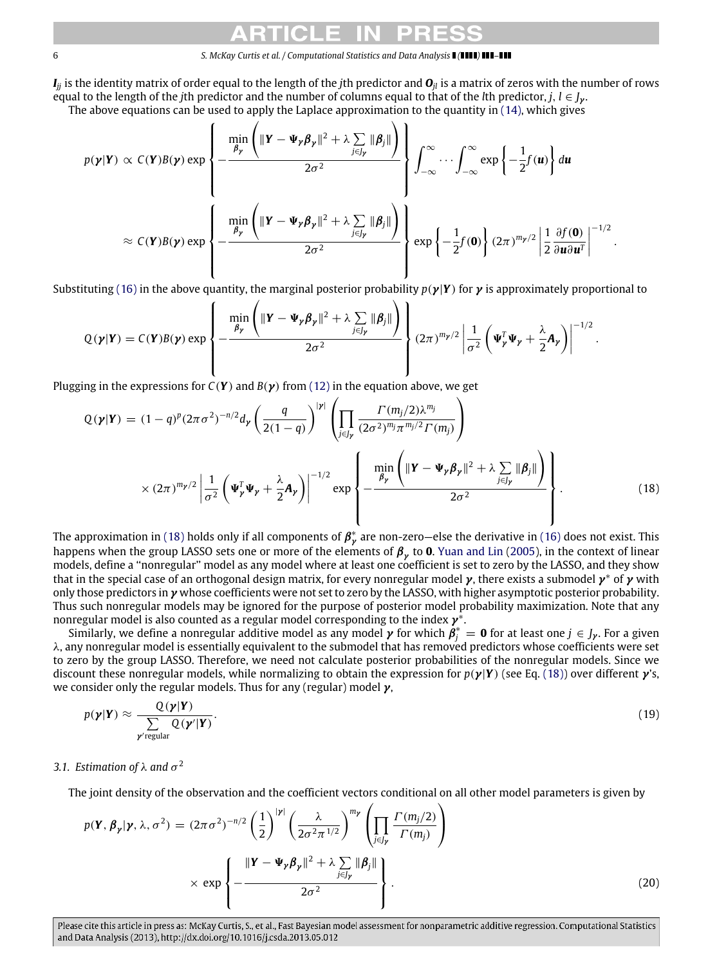*I*<sub>ij</sub> is the identity matrix of order equal to the length of the *i*th predictor and  $O$ <sub>*ij*</sub> is a matrix of zeros with the number of rows equal to the length of the *j*th predictor and the number of columns equal to that of the *l*th predictor, *j*,  $l \in J_{\nu}$ . The above equations can be used to apply the Laplace approximation to the quantity in [\(14\),](#page-4-2) which gives

$$
p(\boldsymbol{\gamma}|\boldsymbol{Y}) \propto C(\boldsymbol{Y})B(\boldsymbol{\gamma}) \exp\left\{-\frac{\min_{\beta_{\boldsymbol{\gamma}}} \left(\|\boldsymbol{Y}-\boldsymbol{\Psi}_{\boldsymbol{\gamma}}\boldsymbol{\beta}_{\boldsymbol{\gamma}}\|^2 + \lambda \sum_{j\in J_{\boldsymbol{\gamma}}} \|\boldsymbol{\beta}_j\|\right)}{2\sigma^2}\right\} \int_{-\infty}^{\infty} \cdots \int_{-\infty}^{\infty} \exp\left\{-\frac{1}{2}f(\boldsymbol{u})\right\} d\boldsymbol{u}
$$

$$
\approx C(\boldsymbol{Y})B(\boldsymbol{\gamma}) \exp\left\{-\frac{\min_{\beta_{\boldsymbol{\gamma}}} \left(\|\boldsymbol{Y}-\boldsymbol{\Psi}_{\boldsymbol{\gamma}}\boldsymbol{\beta}_{\boldsymbol{\gamma}}\|^2 + \lambda \sum_{j\in J_{\boldsymbol{\gamma}}} \|\boldsymbol{\beta}_j\|\right)}{2\sigma^2}\right\} \exp\left\{-\frac{1}{2}f(\boldsymbol{0})\right\} (2\pi)^{m_{\boldsymbol{\gamma}}/2} \left|\frac{1}{2}\frac{\partial f(\boldsymbol{0})}{\partial \boldsymbol{u}\partial \boldsymbol{u}^T}\right|^{-1/2}.
$$

Substituting [\(16\)](#page-4-3) in the above quantity, the marginal posterior probability  $p(\gamma|Y)$  for  $\gamma$  is approximately proportional to

$$
Q(\boldsymbol{\gamma}|\boldsymbol{Y}) = C(\boldsymbol{Y})B(\boldsymbol{\gamma}) \exp \left\{-\frac{\min \left( \|\boldsymbol{Y} - \boldsymbol{\Psi}_{\boldsymbol{\gamma}} \boldsymbol{\beta}_{\boldsymbol{\gamma}}\|^2 + \lambda \sum_{j \in J_{\boldsymbol{\gamma}}} \|\boldsymbol{\beta}_j\|\right)}{2\sigma^2}\right\} (2\pi)^{m_{\boldsymbol{\gamma}}/2} \left|\frac{1}{\sigma^2} \left(\boldsymbol{\Psi}_{\boldsymbol{\gamma}}^T \boldsymbol{\Psi}_{\boldsymbol{\gamma}} + \frac{\lambda}{2} \boldsymbol{A}_{\boldsymbol{\gamma}}\right)\right|^{-1/2}.
$$

Plugging in the expressions for  $C(Y)$  and  $B(Y)$  from [\(12\)](#page-4-4) in the equation above, we get

<span id="page-5-0"></span>
$$
Q(\boldsymbol{y}|\boldsymbol{Y}) = (1-q)^p (2\pi\sigma^2)^{-n/2} d_{\boldsymbol{y}} \left( \frac{q}{2(1-q)} \right)^{|\boldsymbol{y}|} \left( \prod_{j \in J_{\boldsymbol{y}}} \frac{\Gamma(m_j/2) \lambda^{m_j}}{(2\sigma^2)^{m_j} \pi^{m_j/2} \Gamma(m_j)} \right)
$$

$$
\times (2\pi)^{m_{\boldsymbol{y}}/2} \left| \frac{1}{\sigma^2} \left( \boldsymbol{\Psi}_{\boldsymbol{y}}^T \boldsymbol{\Psi}_{\boldsymbol{y}} + \frac{\lambda}{2} \boldsymbol{A}_{\boldsymbol{y}} \right) \right|^{-1/2} \exp \left\{ -\frac{\min_{\boldsymbol{\beta}_{\boldsymbol{y}}} \left( \|\boldsymbol{Y} - \boldsymbol{\Psi}_{\boldsymbol{y}} \boldsymbol{\beta}_{\boldsymbol{y}}\|^2 + \lambda \sum_{j \in J_{\boldsymbol{y}}} \|\boldsymbol{\beta}_{j}\| \right)}{2\sigma^2} \right\}.
$$
(18)

The approximation in [\(18\)](#page-5-0) holds only if all components of  $\pmb{\beta}^*_\pmb{\gamma}$  are non-zero—else the derivative in [\(16\)](#page-4-3) does not exist. This happens when the group LASSO sets one or more of the elements of  $\pmb{\beta}_\gamma$  to **0**. [Yuan and Lin](#page-11-11) [\(2005\)](#page-11-11), in the context of linear models, define a ''nonregular'' model as any model where at least one coefficient is set to zero by the LASSO, and they show that in the special case of an orthogonal design matrix, for every nonregular model  $\gamma$ , there exists a submodel  $\gamma^*$  of  $\gamma$  with only those predictors in  $\gamma$  whose coefficients were not set to zero by the LASSO, with higher asymptotic posterior probability. Thus such nonregular models may be ignored for the purpose of posterior model probability maximization. Note that any nonregular model is also counted as a regular model corresponding to the index  $\pmb{\gamma}^*$ .

Similarly, we define a nonregular additive model as any model  $\gamma$  for which  $\beta_j^* = \mathbf{0}$  for at least one  $j \in J_{\gamma}$ . For a given λ, any nonregular model is essentially equivalent to the submodel that has removed predictors whose coefficients were set to zero by the group LASSO. Therefore, we need not calculate posterior probabilities of the nonregular models. Since we discount these nonregular models, while normalizing to obtain the expression for *<sup>p</sup>*(γ|*Y*) (see Eq. [\(18\)\)](#page-5-0) over different γ's, we consider only the regular models. Thus for any (regular) model  $\gamma$ ,

$$
p(\mathbf{y}|\mathbf{Y}) \approx \frac{Q(\mathbf{y}|\mathbf{Y})}{\sum_{\mathbf{y}' \text{regular}} Q(\mathbf{y}'|\mathbf{Y})}.
$$
\n(19)

# 3.1. Estimation of  $\lambda$  and  $\sigma^2$

The joint density of the observation and the coefficient vectors conditional on all other model parameters is given by

$$
p(\mathbf{Y}, \boldsymbol{\beta}_{\mathbf{y}} | \mathbf{y}, \lambda, \sigma^2) = (2\pi \sigma^2)^{-n/2} \left(\frac{1}{2}\right)^{|\mathbf{y}|} \left(\frac{\lambda}{2\sigma^2 \pi^{1/2}}\right)^{m_{\mathbf{y}}} \left(\prod_{j \in J_{\mathbf{y}}} \frac{\Gamma(m_j/2)}{\Gamma(m_j)}\right)
$$

$$
\times \exp\left\{-\frac{\|\mathbf{Y} - \boldsymbol{\Psi}_{\mathbf{y}} \boldsymbol{\beta}_{\mathbf{y}}\|^2 + \lambda \sum_{j \in J_{\mathbf{y}}} \|\boldsymbol{\beta}_{j}\|}{2\sigma^2}\right\}.
$$
(20)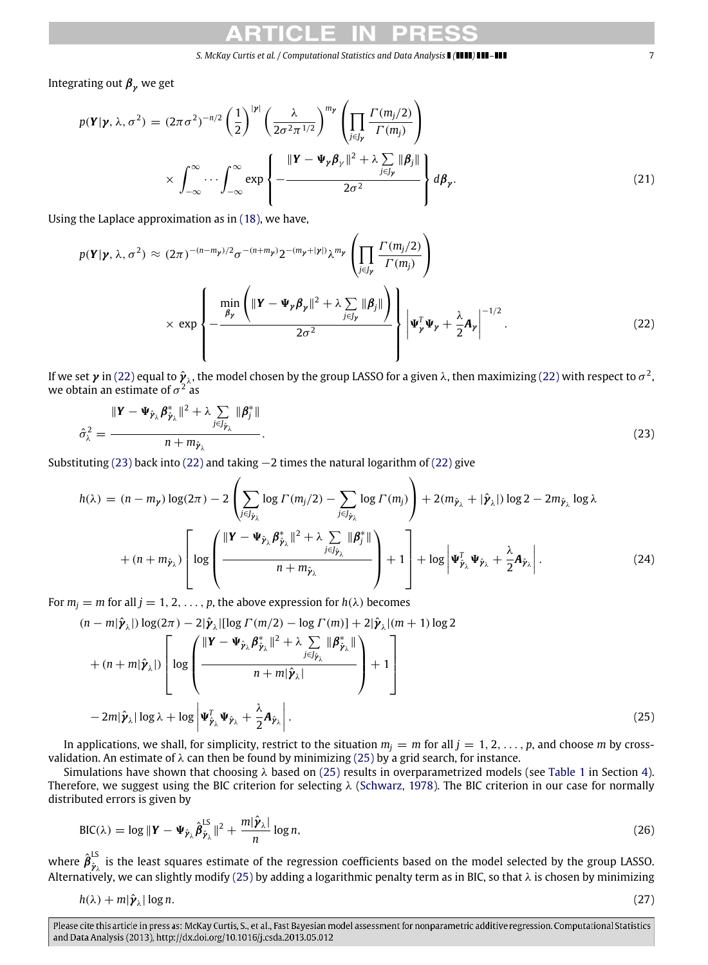Integrating out  $\beta_{\gamma}$  we get

$$
p(\mathbf{Y}|\mathbf{y}, \lambda, \sigma^2) = (2\pi\sigma^2)^{-n/2} \left(\frac{1}{2}\right)^{|\mathbf{y}|} \left(\frac{\lambda}{2\sigma^2\pi^{1/2}}\right)^{m_{\mathbf{y}}} \left(\prod_{j \in J_{\mathbf{y}}} \frac{\Gamma(m_j/2)}{\Gamma(m_j)}\right)
$$

$$
\times \int_{-\infty}^{\infty} \cdots \int_{-\infty}^{\infty} \exp\left\{-\frac{\|\mathbf{Y} - \mathbf{\Psi}_{\mathbf{y}}\boldsymbol{\beta}_{\mathbf{y}}\|^2 + \lambda \sum_{j \in J_{\mathbf{y}}} \|\boldsymbol{\beta}_j\|}{2\sigma^2}\right\} d\boldsymbol{\beta}_{\mathbf{y}}.
$$
(21)

Using the Laplace approximation as in [\(18\),](#page-5-0) we have,

$$
p(\mathbf{Y}|\mathbf{y}, \lambda, \sigma^2) \approx (2\pi)^{-(n-m_{\mathbf{y}})/2} \sigma^{-(n+m_{\mathbf{y}})} 2^{-(m_{\mathbf{y}}+|\mathbf{y}|)} \lambda^{m_{\mathbf{y}}} \left( \prod_{j \in J_{\mathbf{y}}} \frac{\Gamma(m_j/2)}{\Gamma(m_j)} \right)
$$
  
 
$$
\times \exp \left\{ -\frac{\min_{\beta_{\mathbf{y}}} \left( \|\mathbf{Y} - \mathbf{\Psi}_{\mathbf{y}} \boldsymbol{\beta}_{\mathbf{y}}\|^2 + \lambda \sum_{j \in J_{\mathbf{y}}} \|\boldsymbol{\beta}_j\|\right)}{2\sigma^2} \right\} \left| \mathbf{\Psi}_{\mathbf{y}}^T \mathbf{\Psi}_{\mathbf{y}} + \frac{\lambda}{2} \mathbf{A}_{\mathbf{y}} \right|^{-1/2} .
$$
 (22)

If we set  $\pmb{\gamma}$  in [\(22\)](#page-6-0) equal to  $\hat{\pmb{\gamma}}_{\lambda}$ , the model chosen by the group LASSO for a given  $\lambda$ , then maximizing (22) with respect to  $\sigma^2$ , we obtain an estimate of  $\sigma^2$  as

$$
\hat{\sigma}_{\lambda}^2 = \frac{\|\mathbf{Y} - \mathbf{\Psi}_{\hat{\mathbf{y}}_{\lambda}} \boldsymbol{\beta}_{\hat{\mathbf{y}}_{\lambda}}^* \|^2 + \lambda \sum_{j \in J_{\hat{\mathbf{y}}_{\lambda}}} \|\boldsymbol{\beta}_j^* \|}{n + m_{\hat{\mathbf{y}}_{\lambda}}}.
$$
\n(23)

Substituting [\(23\)](#page-6-1) back into [\(22\)](#page-6-0) and taking −2 times the natural logarithm of [\(22\)](#page-6-0) give

$$
h(\lambda) = (n - m_{\gamma}) \log(2\pi) - 2 \left( \sum_{j \in J_{\hat{\gamma}_{\lambda}}} \log \Gamma(m_{j}/2) - \sum_{j \in J_{\hat{\gamma}_{\lambda}}} \log \Gamma(m_{j}) \right) + 2(m_{\hat{\gamma}_{\lambda}} + |\hat{\gamma}_{\lambda}|) \log 2 - 2m_{\hat{\gamma}_{\lambda}} \log \lambda + (n + m_{\hat{\gamma}_{\lambda}}) \left[ \log \left( \frac{\|\mathbf{Y} - \mathbf{\Psi}_{\hat{\gamma}_{\lambda}} \boldsymbol{\beta}_{\hat{\gamma}_{\lambda}}^* \|^2 + \lambda \sum_{j \in J_{\hat{\gamma}_{\lambda}}} \|\boldsymbol{\beta}_{j}^* \|}{n + m_{\hat{\gamma}_{\lambda}}} \right) + 1 \right] + \log \left| \mathbf{\Psi}_{\hat{\gamma}_{\lambda}}^T \mathbf{\Psi}_{\hat{\gamma}_{\lambda}} + \frac{\lambda}{2} \mathbf{A}_{\hat{\gamma}_{\lambda}} \right|.
$$
 (24)

For  $m_j = m$  for all  $j = 1, 2, ..., p$ , the above expression for  $h(\lambda)$  becomes

<span id="page-6-2"></span>
$$
(n - m|\hat{\mathbf{y}}_{\lambda}|) \log(2\pi) - 2|\hat{\mathbf{y}}_{\lambda}| [\log \Gamma(m/2) - \log \Gamma(m)] + 2|\hat{\mathbf{y}}_{\lambda}|(m + 1) \log 2
$$
  
+ 
$$
(n + m|\hat{\mathbf{y}}_{\lambda}|) \left[ \log \left( \frac{\|\mathbf{Y} - \mathbf{\Psi}_{\hat{\mathbf{y}}_{\lambda}} \boldsymbol{\beta}_{\hat{\mathbf{y}}_{\lambda}}^* \|^2 + \lambda \sum_{j \in J_{\hat{\mathbf{y}}_{\lambda}}} ||\boldsymbol{\beta}_{\hat{\mathbf{y}}_{\lambda}}^*||}{n + m|\hat{\mathbf{y}}_{\lambda}|} \right) + 1 \right]
$$
  
- 
$$
2m|\hat{\mathbf{y}}_{\lambda}| \log \lambda + \log \left| \mathbf{\Psi}_{\hat{\mathbf{y}}_{\lambda}}^{\mathsf{T}} \mathbf{\Psi}_{\hat{\mathbf{y}}_{\lambda}} + \frac{\lambda}{2} \mathbf{A}_{\hat{\mathbf{y}}_{\lambda}} \right|.
$$
(25)

In applications, we shall, for simplicity, restrict to the situation  $m_i = m$  for all  $j = 1, 2, \ldots, p$ , and choose *m* by crossvalidation. An estimate of  $\lambda$  can then be found by minimizing [\(25\)](#page-6-2) by a grid search, for instance.

Simulations have shown that choosing  $\lambda$  based on [\(25\)](#page-6-2) results in overparametrized models (see [Table 1](#page-7-1) in Section [4\)](#page-7-0). Therefore, we suggest using the BIC criterion for selecting  $\lambda$  [\(Schwarz, 1978\)](#page-11-8). The BIC criterion in our case for normally distributed errors is given by

<span id="page-6-5"></span>
$$
\text{BIC}(\lambda) = \log \|\mathbf{Y} - \mathbf{\Psi}_{\hat{\mathbf{y}}_{\lambda}} \hat{\boldsymbol{\beta}}_{\hat{\mathbf{y}}_{\lambda}}^{LS}\|^2 + \frac{m|\hat{\mathbf{y}}_{\lambda}|}{n} \log n,
$$
\n(26)

where  $\hat{{\boldsymbol \beta}}^{\sf LS}_{\hat{{\boldsymbol \nu}},\hat{}}$  $\hat{p}_{\lambda}$  is the least squares estimate of the regression coefficients based on the model selected by the group LASSO. Alternatively, we can slightly modify [\(25\)](#page-6-2) by adding a logarithmic penalty term as in BIC, so that  $\lambda$  is chosen by minimizing

<span id="page-6-3"></span>
$$
h(\lambda) + m|\hat{\boldsymbol{\gamma}}_{\lambda}| \log n. \tag{27}
$$

<span id="page-6-4"></span><span id="page-6-1"></span><span id="page-6-0"></span>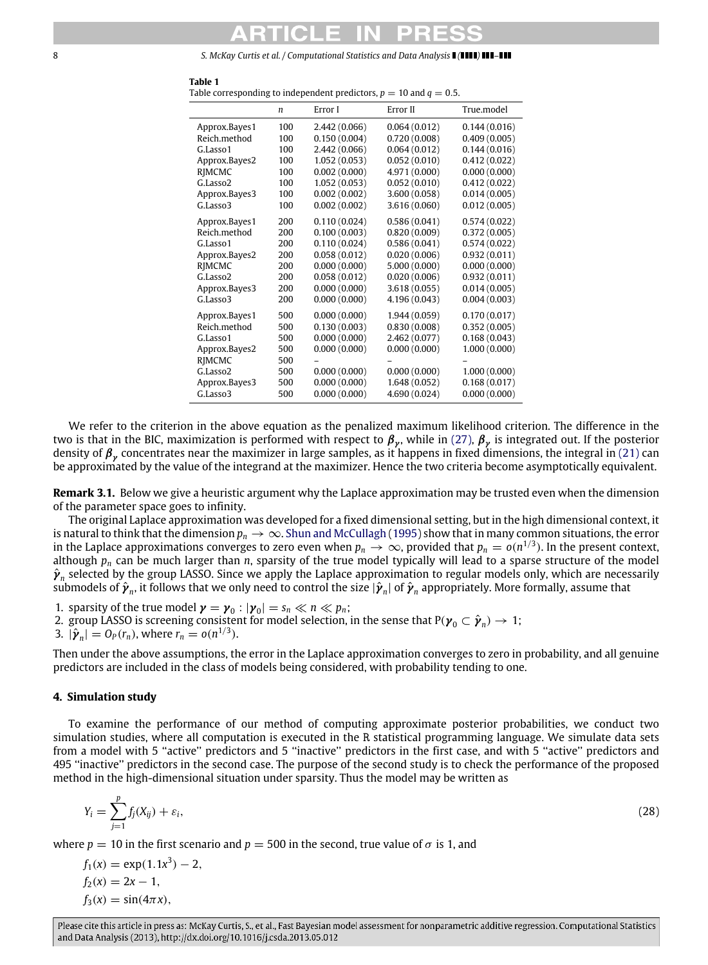<span id="page-7-1"></span>**Table 1**

|                      | $\boldsymbol{n}$ | Error I       | Error II      | True.model   |
|----------------------|------------------|---------------|---------------|--------------|
| Approx.Bayes1        | 100              | 2.442 (0.066) | 0.064(0.012)  | 0.144(0.016) |
| Reich.method         | 100              | 0.150(0.004)  | 0.720(0.008)  | 0.409(0.005) |
| G.Lasso1             | 100              | 2.442 (0.066) | 0.064(0.012)  | 0.144(0.016) |
| Approx.Bayes2        | 100              | 1.052(0.053)  | 0.052(0.010)  | 0.412(0.022) |
| RIMCMC               | 100              | 0.002(0.000)  | 4.971 (0.000) | 0.000(0.000) |
| G.Lasso <sub>2</sub> | 100              | 1.052(0.053)  | 0.052(0.010)  | 0.412(0.022) |
| Approx.Bayes3        | 100              | 0.002(0.002)  | 3,600(0.058)  | 0.014(0.005) |
| G.Lasso3             | 100              | 0.002(0.002)  | 3.616 (0.060) | 0.012(0.005) |
| Approx.Bayes1        | 200              | 0.110(0.024)  | 0.586(0.041)  | 0.574(0.022) |
| Reich.method         | 200              | 0.100(0.003)  | 0.820(0.009)  | 0.372(0.005) |
| G.Lasso1             | 200              | 0.110(0.024)  | 0.586(0.041)  | 0.574(0.022) |
| Approx.Bayes2        | 200              | 0.058(0.012)  | 0.020(0.006)  | 0.932(0.011) |
| RIMCMC               | 200              | 0.000(0.000)  | 5.000(0.000)  | 0.000(0.000) |
| G.Lasso <sub>2</sub> | 200              | 0.058(0.012)  | 0.020(0.006)  | 0.932(0.011) |
| Approx.Bayes3        | 200              | 0.000(0.000)  | 3.618(0.055)  | 0.014(0.005) |
| G.Lasso3             | 200              | 0.000(0.000)  | 4.196 (0.043) | 0.004(0.003) |
| Approx.Bayes1        | 500              | 0.000(0.000)  | 1.944(0.059)  | 0.170(0.017) |
| Reich.method         | 500              | 0.130(0.003)  | 0.830(0.008)  | 0.352(0.005) |
| G.Lasso1             | 500              | 0.000(0.000)  | 2.462 (0.077) | 0.168(0.043) |
| Approx.Bayes2        | 500              | 0.000(0.000)  | 0.000(0.000)  | 1.000(0.000) |
| RIMCMC               | 500              |               |               |              |
| G.Lasso <sub>2</sub> | 500              | 0.000(0.000)  | 0.000(0.000)  | 1.000(0.000) |
| Approx.Bayes3        | 500              | 0.000(0.000)  | 1.648(0.052)  | 0.168(0.017) |
| G.Lasso3             | 500              | 0.000(0.000)  | 4.690 (0.024) | 0.000(0.000) |

Table corresponding to independent predictors,  $p = 10$  and  $q = 0.5$ .

We refer to the criterion in the above equation as the penalized maximum likelihood criterion. The difference in the two is that in the BIC, maximization is performed with respect to  $\pmb{\beta}_\mathcal{y}.$  while in [\(27\),](#page-6-3)  $\pmb{\beta}_\mathcal{y}$  is integrated out. If the posterior density of  $\pmb{\beta}_\gamma$  concentrates near the maximizer in large samples, as it happens in fixed dimensions, the integral in [\(21\)](#page-6-4) can be approximated by the value of the integrand at the maximizer. Hence the two criteria become asymptotically equivalent.

**Remark 3.1.** Below we give a heuristic argument why the Laplace approximation may be trusted even when the dimension of the parameter space goes to infinity.

The original Laplace approximation was developed for a fixed dimensional setting, but in the high dimensional context, it is natural to think that the dimension  $p_n \to \infty$ . [Shun and McCullagh](#page-11-12) [\(1995\)](#page-11-12) show that in many common situations, the error in the Laplace approximations converges to zero even when  $p_n \to \infty$ , provided that  $p_n = o(n^{1/3})$ . In the present context, although  $p_n$  can be much larger than  $n$ , sparsity of the true model typically will lead to a sparse structure of the model  $\hat{\bm{y}}_n$  selected by the group LASSO. Since we apply the Laplace approximation to regular models only, which are necessarily submodels of  $\hat{\bm{\gamma}}_n$ , it follows that we only need to control the size  $|\hat{\bm{\gamma}}_n|$  of  $\hat{\bm{\gamma}}_n$  appropriately. More formally, assume that

1. sparsity of the true model  $\boldsymbol{\gamma} = \boldsymbol{\gamma}_0 : |\boldsymbol{\gamma}_0| = s_n \ll n \ll p_n$ ;

2. group LASSO is screening consistent for model selection, in the sense that  $P(\gamma_0 \subset \hat{\gamma}_n) \to 1$ ;

3. 
$$
|\hat{\boldsymbol{\gamma}}_n| = O_P(r_n)
$$
, where  $r_n = o(n^{1/3})$ .

Then under the above assumptions, the error in the Laplace approximation converges to zero in probability, and all genuine predictors are included in the class of models being considered, with probability tending to one.

## <span id="page-7-0"></span>**4. Simulation study**

To examine the performance of our method of computing approximate posterior probabilities, we conduct two simulation studies, where all computation is executed in the R statistical programming language. We simulate data sets from a model with 5 "active" predictors and 5 "inactive" predictors in the first case, and with 5 "active" predictors and 495 ''inactive'' predictors in the second case. The purpose of the second study is to check the performance of the proposed method in the high-dimensional situation under sparsity. Thus the model may be written as

$$
Y_i = \sum_{j=1}^p f_j(X_{ij}) + \varepsilon_i,\tag{28}
$$

where  $p = 10$  in the first scenario and  $p = 500$  in the second, true value of  $\sigma$  is 1, and

$$
f_1(x) = \exp(1.1x^3) - 2,
$$
  
\n
$$
f_2(x) = 2x - 1,
$$
  
\n
$$
f_3(x) = \sin(4\pi x),
$$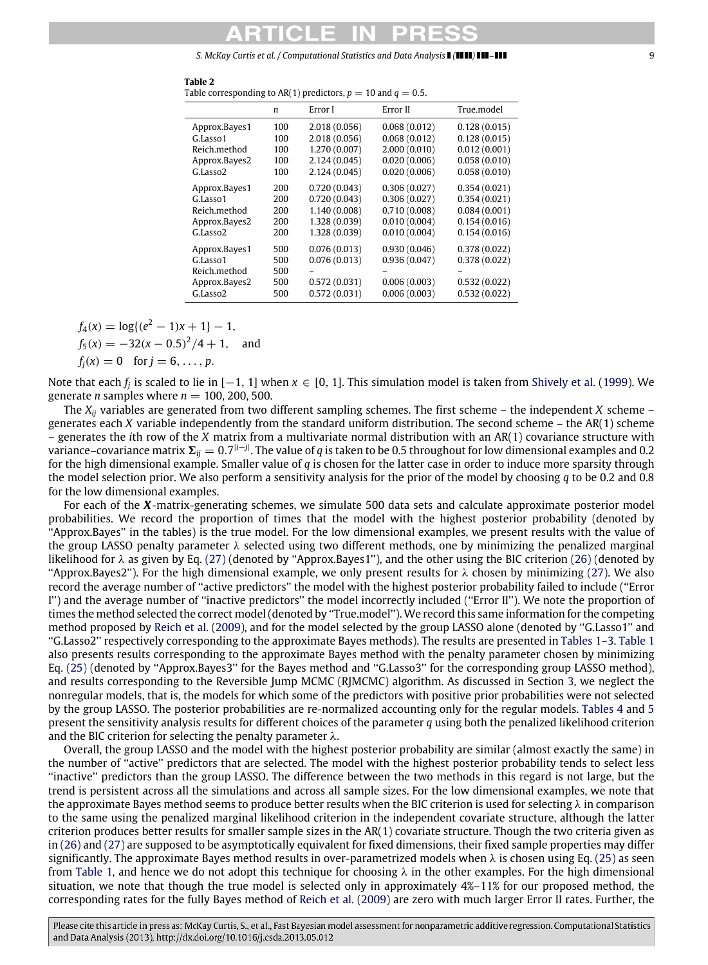|               | n   | Error I       | Error II     | True.model   |
|---------------|-----|---------------|--------------|--------------|
| Approx.Bayes1 | 100 | 2.018(0.056)  | 0.068(0.012) | 0.128(0.015) |
| G.Lasso1      | 100 | 2.018(0.056)  | 0.068(0.012) | 0.128(0.015) |
| Reich.method  | 100 | 1.270(0.007)  | 2,000(0.010) | 0.012(0.001) |
| Approx.Bayes2 | 100 | 2.124(0.045)  | 0.020(0.006) | 0.058(0.010) |
| G.Lasso2      | 100 | 2.124(0.045)  | 0.020(0.006) | 0.058(0.010) |
| Approx.Bayes1 | 200 | 0.720(0.043)  | 0.306(0.027) | 0.354(0.021) |
| G.Lasso1      | 200 | 0.720(0.043)  | 0.306(0.027) | 0.354(0.021) |
| Reich.method  | 200 | 1.140(0.008)  | 0.710(0.008) | 0.084(0.001) |
| Approx.Bayes2 | 200 | 1.328 (0.039) | 0.010(0.004) | 0.154(0.016) |
| G.Lasso2      | 200 | 1.328 (0.039) | 0.010(0.004) | 0.154(0.016) |
| Approx.Bayes1 | 500 | 0.076(0.013)  | 0.930(0.046) | 0.378(0.022) |
| G.Lasso1      | 500 | 0.076(0.013)  | 0.936(0.047) | 0.378(0.022) |
| Reich.method  | 500 |               |              |              |
| Approx.Bayes2 | 500 | 0.572(0.031)  | 0.006(0.003) | 0.532(0.022) |
| G.Lasso2      | 500 | 0.572(0.031)  | 0.006(0.003) | 0.532(0.022) |
|               |     |               |              |              |

 $f_4(x) = \log\{(e^2 - 1)x + 1\} - 1,$  $f_5(x) = -32(x - 0.5)^2/4 + 1$ , and

 $f_i(x) = 0$  for  $j = 6, ..., p$ .

Note that each *f<sup>j</sup>* is scaled to lie in [−1, <sup>1</sup>] when *<sup>x</sup>* ∈ [0, <sup>1</sup>]. This simulation model is taken from [Shively et al.](#page-11-5) [\(1999\)](#page-11-5). We generate *n* samples where  $n = 100, 200, 500$ .

The *Xij* variables are generated from two different sampling schemes. The first scheme – the independent *X* scheme – generates each *X* variable independently from the standard uniform distribution. The second scheme – the AR(1) scheme – generates the *i*th row of the *X* matrix from a multivariate normal distribution with an AR(1) covariance structure with variance–covariance matrix  $\Sigma_{ij} = 0.7^{|i-j|}$ . The value of *q* is taken to be 0.5 throughout for low dimensional examples and 0.2 for the high dimensional example. Smaller value of *q* is chosen for the latter case in order to induce more sparsity through the model selection prior. We also perform a sensitivity analysis for the prior of the model by choosing *q* to be 0.2 and 0.8 for the low dimensional examples.

For each of the *X*-matrix-generating schemes, we simulate 500 data sets and calculate approximate posterior model probabilities. We record the proportion of times that the model with the highest posterior probability (denoted by ''Approx.Bayes'' in the tables) is the true model. For the low dimensional examples, we present results with the value of the group LASSO penalty parameter  $\lambda$  selected using two different methods, one by minimizing the penalized marginal likelihood for  $\lambda$  as given by Eq. [\(27\)](#page-6-3) (denoted by "Approx.Bayes1"), and the other using the BIC criterion [\(26\)](#page-6-5) (denoted by "Approx.Bayes2"). For the high dimensional example, we only present results for  $\lambda$  chosen by minimizing [\(27\).](#page-6-3) We also record the average number of ''active predictors'' the model with the highest posterior probability failed to include (''Error I'') and the average number of ''inactive predictors'' the model incorrectly included (''Error II''). We note the proportion of times the method selected the correct model (denoted by ''True.model''). We record this same information for the competing method proposed by [Reich et al.](#page-11-9) [\(2009\)](#page-11-9), and for the model selected by the group LASSO alone (denoted by ''G.Lasso1'' and ''G.Lasso2'' respectively corresponding to the approximate Bayes methods). The results are presented in [Tables 1–3.](#page-7-1) [Table 1](#page-7-1) also presents results corresponding to the approximate Bayes method with the penalty parameter chosen by minimizing Eq. [\(25\)](#page-6-2) (denoted by "Approx.Bayes3" for the Bayes method and "G.Lasso3" for the corresponding group LASSO method), and results corresponding to the Reversible Jump MCMC (RJMCMC) algorithm. As discussed in Section [3,](#page-4-0) we neglect the nonregular models, that is, the models for which some of the predictors with positive prior probabilities were not selected by the group LASSO. The posterior probabilities are re-normalized accounting only for the regular models. [Tables 4](#page-9-0) and [5](#page-9-1) present the sensitivity analysis results for different choices of the parameter *q* using both the penalized likelihood criterion and the BIC criterion for selecting the penalty parameter  $\lambda$ .

Overall, the group LASSO and the model with the highest posterior probability are similar (almost exactly the same) in the number of ''active'' predictors that are selected. The model with the highest posterior probability tends to select less ''inactive'' predictors than the group LASSO. The difference between the two methods in this regard is not large, but the trend is persistent across all the simulations and across all sample sizes. For the low dimensional examples, we note that the approximate Bayes method seems to produce better results when the BIC criterion is used for selecting  $\lambda$  in comparison to the same using the penalized marginal likelihood criterion in the independent covariate structure, although the latter criterion produces better results for smaller sample sizes in the AR(1) covariate structure. Though the two criteria given as in [\(26\)](#page-6-5) and [\(27\)](#page-6-3) are supposed to be asymptotically equivalent for fixed dimensions, their fixed sample properties may differ significantly. The approximate Bayes method results in over-parametrized models when  $\lambda$  is chosen using Eq. [\(25\)](#page-6-2) as seen from [Table 1,](#page-7-1) and hence we do not adopt this technique for choosing  $\lambda$  in the other examples. For the high dimensional situation, we note that though the true model is selected only in approximately 4%–11% for our proposed method, the corresponding rates for the fully Bayes method of [Reich et al.](#page-11-9) [\(2009\)](#page-11-9) are zero with much larger Error II rates. Further, the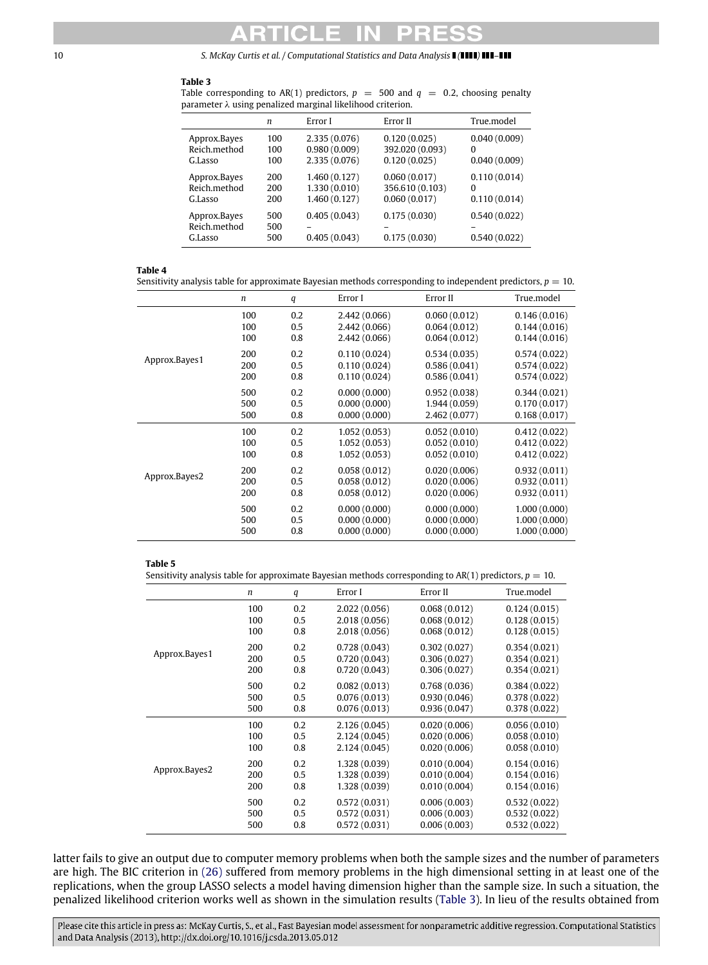### <span id="page-9-2"></span>**Table 3**

Table corresponding to AR(1) predictors,  $p = 500$  and  $q = 0.2$ , choosing penalty parameter λ using penalized marginal likelihood criterion.

|                                         | $\boldsymbol{n}$  | Error I                      | Error II                     | True.model                   |
|-----------------------------------------|-------------------|------------------------------|------------------------------|------------------------------|
| Approx.Bayes                            | 100               | 2.335(0.076)                 | 0.120(0.025)                 | 0.040(0.009)                 |
| Reich.method                            | 100               | 0.980(0.009)                 | 392.020 (0.093)              | $\Omega$                     |
| G.Lasso                                 | 100               | 2.335(0.076)                 | 0.120(0.025)                 | 0.040(0.009)                 |
| Approx.Bayes                            | 200               | 1,460(0.127)                 | 0.060(0.017)                 | 0.110(0.014)                 |
| Reich.method                            | 200               | 1,330(0.010)                 | 356.610 (0.103)              | $\Omega$                     |
| G.Lasso                                 | 200               | 1,460(0.127)                 | 0.060(0.017)                 | 0.110(0.014)                 |
| Approx.Bayes<br>Reich.method<br>G.Lasso | 500<br>500<br>500 | 0.405(0.043)<br>0.405(0.043) | 0.175(0.030)<br>0.175(0.030) | 0.540(0.022)<br>0.540(0.022) |

### <span id="page-9-0"></span>**Table 4**

Sensitivity analysis table for approximate Bayesian methods corresponding to independent predictors,  $p = 10$ .

|               | $\boldsymbol{n}$ | q   | Error I       | Error II     | True.model   |
|---------------|------------------|-----|---------------|--------------|--------------|
|               | 100              | 0.2 | 2,442 (0.066) | 0.060(0.012) | 0.146(0.016) |
|               | 100              | 0.5 | 2,442(0.066)  | 0.064(0.012) | 0.144(0.016) |
|               | 100              | 0.8 | 2,442(0.066)  | 0.064(0.012) | 0.144(0.016) |
|               | 200              | 0.2 | 0.110(0.024)  | 0.534(0.035) | 0.574(0.022) |
| Approx.Bayes1 | 200              | 0.5 | 0.110(0.024)  | 0.586(0.041) | 0.574(0.022) |
|               | 200              | 0.8 | 0.110(0.024)  | 0.586(0.041) | 0.574(0.022) |
|               | 500              | 0.2 | 0.000(0.000)  | 0.952(0.038) | 0.344(0.021) |
|               | 500              | 0.5 | 0.000(0.000)  | 1.944(0.059) | 0.170(0.017) |
|               | 500              | 0.8 | 0.000(0.000)  | 2,462(0.077) | 0.168(0.017) |
|               | 100              | 0.2 | 1.052(0.053)  | 0.052(0.010) | 0.412(0.022) |
|               | 100              | 0.5 | 1.052(0.053)  | 0.052(0.010) | 0.412(0.022) |
| Approx.Bayes2 | 100              | 0.8 | 1.052(0.053)  | 0.052(0.010) | 0.412(0.022) |
|               | 200              | 0.2 | 0.058(0.012)  | 0.020(0.006) | 0.932(0.011) |
|               | 200              | 0.5 | 0.058(0.012)  | 0.020(0.006) | 0.932(0.011) |
|               | 200              | 0.8 | 0.058(0.012)  | 0.020(0.006) | 0.932(0.011) |
|               | 500              | 0.2 | 0.000(0.000)  | 0.000(0.000) | 1,000(0.000) |
|               | 500              | 0.5 | 0.000(0.000)  | 0.000(0.000) | 1,000(0.000) |
|               | 500              | 0.8 | 0.000(0.000)  | 0.000(0.000) | 1,000(0.000) |

### <span id="page-9-1"></span>**Table 5**

Sensitivity analysis table for approximate Bayesian methods corresponding to  $AR(1)$  predictors,  $p = 10$ .

|               | $\boldsymbol{n}$ | q   | Error I       | Error II     | True.model   |
|---------------|------------------|-----|---------------|--------------|--------------|
|               | 100              | 0.2 | 2.022(0.056)  | 0.068(0.012) | 0.124(0.015) |
|               | 100              | 0.5 | 2.018(0.056)  | 0.068(0.012) | 0.128(0.015) |
|               | 100              | 0.8 | 2.018(0.056)  | 0.068(0.012) | 0.128(0.015) |
|               | 200              | 0.2 | 0.728(0.043)  | 0.302(0.027) | 0.354(0.021) |
| Approx.Bayes1 | 200              | 0.5 | 0.720(0.043)  | 0.306(0.027) | 0.354(0.021) |
|               | 200              | 0.8 | 0.720(0.043)  | 0.306(0.027) | 0.354(0.021) |
|               | 500              | 0.2 | 0.082(0.013)  | 0.768(0.036) | 0.384(0.022) |
|               | 500              | 0.5 | 0.076(0.013)  | 0.930(0.046) | 0.378(0.022) |
|               | 500              | 0.8 | 0.076(0.013)  | 0.936(0.047) | 0.378(0.022) |
|               | 100              | 0.2 | 2,126(0.045)  | 0.020(0.006) | 0.056(0.010) |
|               | 100              | 0.5 | 2.124(0.045)  | 0.020(0.006) | 0.058(0.010) |
| Approx.Bayes2 | 100              | 0.8 | 2,124(0.045)  | 0.020(0.006) | 0.058(0.010) |
|               | 200              | 0.2 | 1.328 (0.039) | 0.010(0.004) | 0.154(0.016) |
|               | 200              | 0.5 | 1.328 (0.039) | 0.010(0.004) | 0.154(0.016) |
|               | 200              | 0.8 | 1.328 (0.039) | 0.010(0.004) | 0.154(0.016) |
|               | 500              | 0.2 | 0.572(0.031)  | 0.006(0.003) | 0.532(0.022) |
|               | 500              | 0.5 | 0.572(0.031)  | 0.006(0.003) | 0.532(0.022) |
|               | 500              | 0.8 | 0.572(0.031)  | 0.006(0.003) | 0.532(0.022) |

latter fails to give an output due to computer memory problems when both the sample sizes and the number of parameters are high. The BIC criterion in [\(26\)](#page-6-5) suffered from memory problems in the high dimensional setting in at least one of the replications, when the group LASSO selects a model having dimension higher than the sample size. In such a situation, the penalized likelihood criterion works well as shown in the simulation results [\(Table 3\)](#page-9-2). In lieu of the results obtained from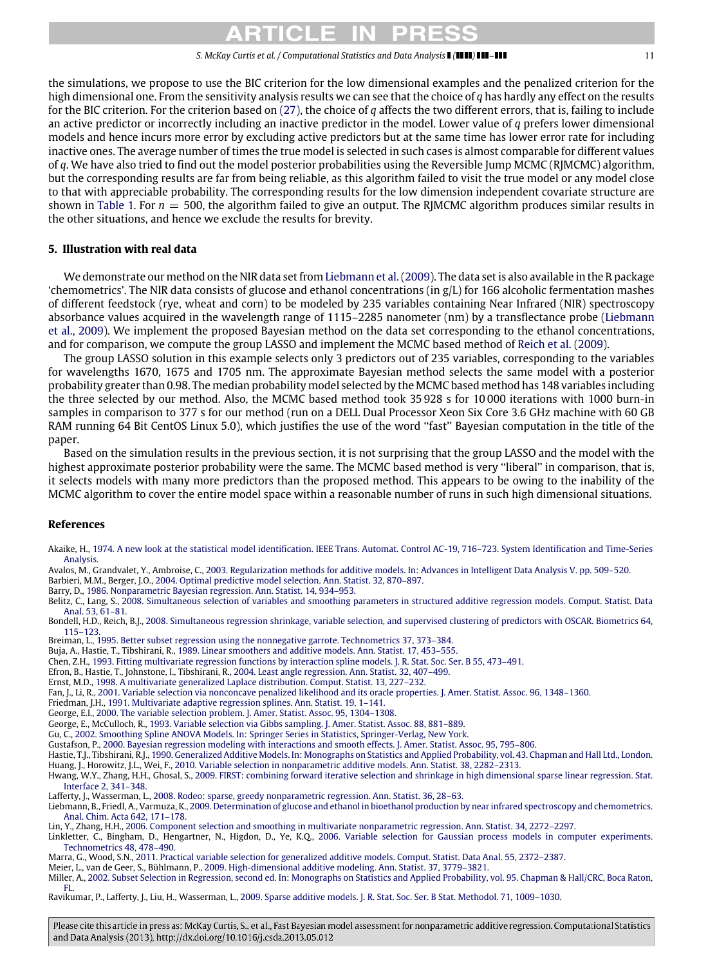# RTICI FI

### *S. McKay Curtis et al. / Computational Statistics and Data Analysis ( ) –* 11

the simulations, we propose to use the BIC criterion for the low dimensional examples and the penalized criterion for the high dimensional one. From the sensitivity analysis results we can see that the choice of *q* has hardly any effect on the results for the BIC criterion. For the criterion based on [\(27\),](#page-6-3) the choice of *q* affects the two different errors, that is, failing to include an active predictor or incorrectly including an inactive predictor in the model. Lower value of *q* prefers lower dimensional models and hence incurs more error by excluding active predictors but at the same time has lower error rate for including inactive ones. The average number of times the true model is selected in such cases is almost comparable for different values of *q*. We have also tried to find out the model posterior probabilities using the Reversible Jump MCMC (RJMCMC) algorithm, but the corresponding results are far from being reliable, as this algorithm failed to visit the true model or any model close to that with appreciable probability. The corresponding results for the low dimension independent covariate structure are shown in [Table 1.](#page-7-1) For  $n = 500$ , the algorithm failed to give an output. The RJMCMC algorithm produces similar results in the other situations, and hence we exclude the results for brevity.

# <span id="page-10-26"></span>**5. Illustration with real data**

We demonstrate our method on the NIR data set from [Liebmann et al.\(2009\)](#page-10-28). The data set is also available in the R package 'chemometrics'. The NIR data consists of glucose and ethanol concentrations (in g/L) for 166 alcoholic fermentation mashes of different feedstock (rye, wheat and corn) to be modeled by 235 variables containing Near Infrared (NIR) spectroscopy absorbance values acquired in the wavelength range of 1115–2285 nanometer (nm) by a transflectance probe [\(Liebmann](#page-10-28) [et al., 2009\)](#page-10-28). We implement the proposed Bayesian method on the data set corresponding to the ethanol concentrations, and for comparison, we compute the group LASSO and implement the MCMC based method of [Reich et al.](#page-11-9) [\(2009\)](#page-11-9).

The group LASSO solution in this example selects only 3 predictors out of 235 variables, corresponding to the variables for wavelengths 1670, 1675 and 1705 nm. The approximate Bayesian method selects the same model with a posterior probability greater than 0.98. The median probability model selected by the MCMC based method has 148 variables including the three selected by our method. Also, the MCMC based method took 35 928 s for 10 000 iterations with 1000 burn-in samples in comparison to 377 s for our method (run on a DELL Dual Processor Xeon Six Core 3.6 GHz machine with 60 GB RAM running 64 Bit CentOS Linux 5.0), which justifies the use of the word ''fast'' Bayesian computation in the title of the paper.

Based on the simulation results in the previous section, it is not surprising that the group LASSO and the model with the highest approximate posterior probability were the same. The MCMC based method is very "liberal" in comparison, that is, it selects models with many more predictors than the proposed method. This appears to be owing to the inability of the MCMC algorithm to cover the entire model space within a reasonable number of runs in such high dimensional situations.

# **References**

<span id="page-10-15"></span>Akaike, H., [1974. A new look at the statistical model identification. IEEE Trans. Automat. Control AC-19, 716–723. System Identification and Time-Series](http://refhub.elsevier.com/S0167-9473(13)00185-0/sbref1) Analysis.

<span id="page-10-20"></span>Avalos, M., Grandvalet, Y., Ambroise, C., [2003. Regularization methods for additive models. In: Advances in Intelligent Data Analysis V. pp. 509–520.](http://refhub.elsevier.com/S0167-9473(13)00185-0/sbref2)

<span id="page-10-25"></span>Barbieri, M.M., Berger, J.O., [2004. Optimal predictive model selection. Ann. Statist. 32, 870–897.](http://refhub.elsevier.com/S0167-9473(13)00185-0/sbref3)

<span id="page-10-12"></span>Barry, D., [1986. Nonparametric Bayesian regression. Ann. Statist. 14, 934–953.](http://refhub.elsevier.com/S0167-9473(13)00185-0/sbref4)

<span id="page-10-18"></span>Belitz, C., Lang, S., [2008. Simultaneous selection of variables and smoothing parameters in structured additive regression models. Comput. Statist. Data](http://refhub.elsevier.com/S0167-9473(13)00185-0/sbref5) Anal. 53, 61–81.

<span id="page-10-5"></span>Bondell, H.D., Reich, B.J., [2008. Simultaneous regression shrinkage, variable selection, and supervised clustering of predictors with OSCAR. Biometrics 64,](http://refhub.elsevier.com/S0167-9473(13)00185-0/sbref6) 115–123.

<span id="page-10-3"></span>Breiman, L., [1995. Better subset regression using the nonnegative garrote. Technometrics 37, 373–384.](http://refhub.elsevier.com/S0167-9473(13)00185-0/sbref7)

<span id="page-10-10"></span>Buja, A., Hastie, T., Tibshirani, R., [1989. Linear smoothers and additive models. Ann. Statist. 17, 453–555.](http://refhub.elsevier.com/S0167-9473(13)00185-0/sbref8)

<span id="page-10-14"></span>Chen, Z.H., [1993. Fitting multivariate regression functions by interaction spline models. J. R. Stat. Soc. Ser. B 55, 473–491.](http://refhub.elsevier.com/S0167-9473(13)00185-0/sbref9)

<span id="page-10-2"></span>Efron, B., Hastie, T., Johnstone, I., Tibshirani, R., [2004. Least angle regression. Ann. Statist. 32, 407–499.](http://refhub.elsevier.com/S0167-9473(13)00185-0/sbref10)

<span id="page-10-27"></span>Ernst, M.D., [1998. A multivariate generalized Laplace distribution. Comput. Statist. 13, 227–232.](http://refhub.elsevier.com/S0167-9473(13)00185-0/sbref11)

<span id="page-10-4"></span>Fan, J., Li, R., [2001. Variable selection via nonconcave penalized likelihood and its oracle properties. J. Amer. Statist. Assoc. 96, 1348–1360.](http://refhub.elsevier.com/S0167-9473(13)00185-0/sbref12)

- <span id="page-10-7"></span>Friedman, J.H., [1991. Multivariate adaptive regression splines. Ann. Statist. 19, 1–141.](http://refhub.elsevier.com/S0167-9473(13)00185-0/sbref13)
- <span id="page-10-1"></span>George, E.I., [2000. The variable selection problem. J. Amer. Statist. Assoc. 95, 1304–1308.](http://refhub.elsevier.com/S0167-9473(13)00185-0/sbref14)

<span id="page-10-24"></span>George, E., McCulloch, R., [1993. Variable selection via Gibbs sampling. J. Amer. Statist. Assoc. 88, 881–889.](http://refhub.elsevier.com/S0167-9473(13)00185-0/sbref15)

<span id="page-10-13"></span>Gu, C., [2002. Smoothing Spline ANOVA Models. In: Springer Series in Statistics, Springer-Verlag, New York.](http://refhub.elsevier.com/S0167-9473(13)00185-0/sbref16)

<span id="page-10-16"></span>Gustafson, P., [2000. Bayesian regression modeling with interactions and smooth effects. J. Amer. Statist. Assoc. 95, 795–806.](http://refhub.elsevier.com/S0167-9473(13)00185-0/sbref17)

<span id="page-10-23"></span><span id="page-10-11"></span>Hastie, T.J., Tibshirani, R.J., [1990. Generalized Additive Models. In: Monographs on Statistics and Applied Probability, vol. 43. Chapman and Hall Ltd., London.](http://refhub.elsevier.com/S0167-9473(13)00185-0/sbref18) Huang, J., Horowitz, J.L., Wei, F., [2010. Variable selection in nonparametric additive models. Ann. Statist. 38, 2282–2313.](http://refhub.elsevier.com/S0167-9473(13)00185-0/sbref19)

<span id="page-10-6"></span>Hwang, W.Y., Zhang, H.H., Ghosal, S., [2009. FIRST: combining forward iterative selection and shrinkage in high dimensional sparse linear regression. Stat.](http://refhub.elsevier.com/S0167-9473(13)00185-0/sbref20) Interface 2, 341–348.

<span id="page-10-9"></span>Lafferty, J., Wasserman, L., [2008. Rodeo: sparse, greedy nonparametric regression. Ann. Statist. 36, 28–63.](http://refhub.elsevier.com/S0167-9473(13)00185-0/sbref21)

<span id="page-10-28"></span>Liebmann, B., Friedl, A., Varmuza, K., [2009. Determination of glucose and ethanol in bioethanol production by near infrared spectroscopy and chemometrics.](http://refhub.elsevier.com/S0167-9473(13)00185-0/sbref22) Anal. Chim. Acta 642, 171–178.

<span id="page-10-17"></span>Lin, Y., Zhang, H.H., [2006. Component selection and smoothing in multivariate nonparametric regression. Ann. Statist. 34, 2272–2297.](http://refhub.elsevier.com/S0167-9473(13)00185-0/sbref23)

<span id="page-10-8"></span>Linkletter, C., Bingham, D., Hengartner, N., Higdon, D., Ye, K.Q., [2006. Variable selection for Gaussian process models in computer experiments.](http://refhub.elsevier.com/S0167-9473(13)00185-0/sbref24) Technometrics 48, 478–490.

<span id="page-10-19"></span>Marra, G., Wood, S.N., [2011. Practical variable selection for generalized additive models. Comput. Statist. Data Anal. 55, 2372–2387.](http://refhub.elsevier.com/S0167-9473(13)00185-0/sbref25)

<span id="page-10-21"></span>Meier, L., van de Geer, S., Bühlmann, P., [2009. High-dimensional additive modeling. Ann. Statist. 37, 3779–3821.](http://refhub.elsevier.com/S0167-9473(13)00185-0/sbref26)

<span id="page-10-0"></span>Miller, A., [2002. Subset Selection in Regression, second ed. In: Monographs on Statistics and Applied Probability, vol. 95. Chapman & Hall/CRC, Boca Raton,](http://refhub.elsevier.com/S0167-9473(13)00185-0/sbref27) FL.

<span id="page-10-22"></span>Ravikumar, P., Lafferty, J., Liu, H., Wasserman, L., [2009. Sparse additive models. J. R. Stat. Soc. Ser. B Stat. Methodol. 71, 1009–1030.](http://refhub.elsevier.com/S0167-9473(13)00185-0/sbref28)